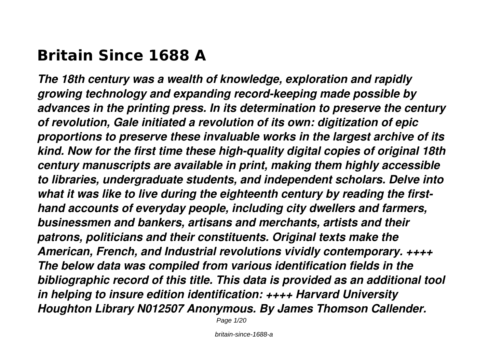# **Britain Since 1688 A**

*The 18th century was a wealth of knowledge, exploration and rapidly growing technology and expanding record-keeping made possible by advances in the printing press. In its determination to preserve the century of revolution, Gale initiated a revolution of its own: digitization of epic proportions to preserve these invaluable works in the largest archive of its kind. Now for the first time these high-quality digital copies of original 18th century manuscripts are available in print, making them highly accessible to libraries, undergraduate students, and independent scholars. Delve into what it was like to live during the eighteenth century by reading the firsthand accounts of everyday people, including city dwellers and farmers, businessmen and bankers, artisans and merchants, artists and their patrons, politicians and their constituents. Original texts make the American, French, and Industrial revolutions vividly contemporary. ++++ The below data was compiled from various identification fields in the bibliographic record of this title. This data is provided as an additional tool in helping to insure edition identification: ++++ Harvard University Houghton Library N012507 Anonymous. By James Thomson Callender.*

Page 1/20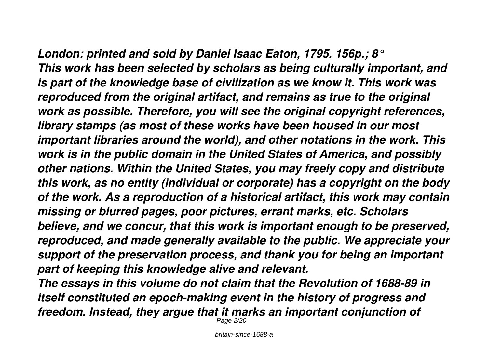*London: printed and sold by Daniel Isaac Eaton, 1795. 156p.; 8° This work has been selected by scholars as being culturally important, and is part of the knowledge base of civilization as we know it. This work was reproduced from the original artifact, and remains as true to the original work as possible. Therefore, you will see the original copyright references, library stamps (as most of these works have been housed in our most important libraries around the world), and other notations in the work. This work is in the public domain in the United States of America, and possibly other nations. Within the United States, you may freely copy and distribute this work, as no entity (individual or corporate) has a copyright on the body of the work. As a reproduction of a historical artifact, this work may contain missing or blurred pages, poor pictures, errant marks, etc. Scholars believe, and we concur, that this work is important enough to be preserved, reproduced, and made generally available to the public. We appreciate your support of the preservation process, and thank you for being an important part of keeping this knowledge alive and relevant.*

*The essays in this volume do not claim that the Revolution of 1688-89 in itself constituted an epoch-making event in the history of progress and freedom. Instead, they argue that it marks an important conjunction of* Page 2/20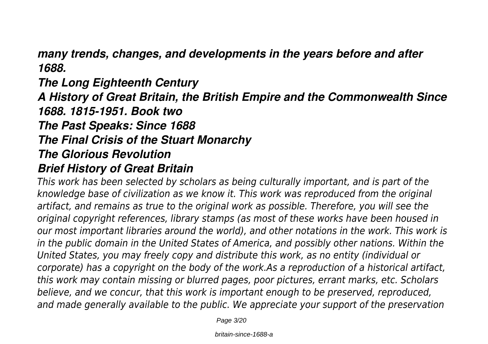*many trends, changes, and developments in the years before and after 1688.*

# *The Long Eighteenth Century A History of Great Britain, the British Empire and the Commonwealth Since 1688. 1815-1951. Book two The Past Speaks: Since 1688 The Final Crisis of the Stuart Monarchy The Glorious Revolution Brief History of Great Britain*

*This work has been selected by scholars as being culturally important, and is part of the knowledge base of civilization as we know it. This work was reproduced from the original artifact, and remains as true to the original work as possible. Therefore, you will see the original copyright references, library stamps (as most of these works have been housed in our most important libraries around the world), and other notations in the work. This work is in the public domain in the United States of America, and possibly other nations. Within the United States, you may freely copy and distribute this work, as no entity (individual or corporate) has a copyright on the body of the work.As a reproduction of a historical artifact, this work may contain missing or blurred pages, poor pictures, errant marks, etc. Scholars believe, and we concur, that this work is important enough to be preserved, reproduced, and made generally available to the public. We appreciate your support of the preservation*

Page 3/20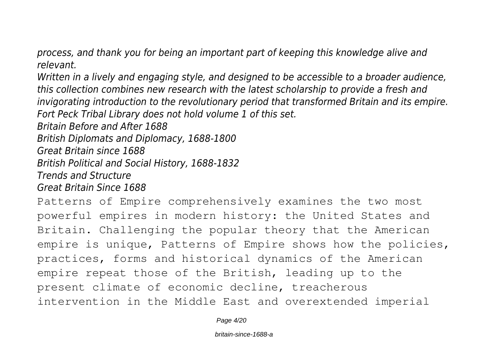*process, and thank you for being an important part of keeping this knowledge alive and relevant.*

*Written in a lively and engaging style, and designed to be accessible to a broader audience, this collection combines new research with the latest scholarship to provide a fresh and invigorating introduction to the revolutionary period that transformed Britain and its empire. Fort Peck Tribal Library does not hold volume 1 of this set.*

*Britain Before and After 1688*

*British Diplomats and Diplomacy, 1688-1800*

*Great Britain since 1688*

*British Political and Social History, 1688-1832*

*Trends and Structure*

*Great Britain Since 1688*

Patterns of Empire comprehensively examines the two most powerful empires in modern history: the United States and Britain. Challenging the popular theory that the American empire is unique, Patterns of Empire shows how the policies, practices, forms and historical dynamics of the American empire repeat those of the British, leading up to the present climate of economic decline, treacherous intervention in the Middle East and overextended imperial

Page 4/20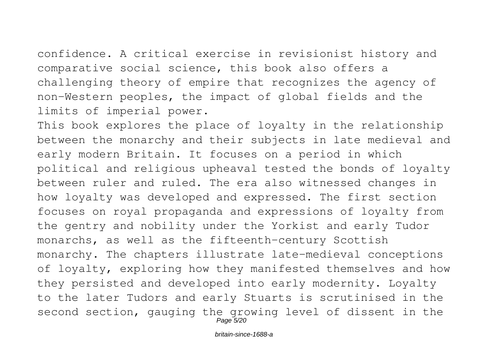confidence. A critical exercise in revisionist history and comparative social science, this book also offers a challenging theory of empire that recognizes the agency of non-Western peoples, the impact of global fields and the limits of imperial power.

This book explores the place of loyalty in the relationship between the monarchy and their subjects in late medieval and early modern Britain. It focuses on a period in which political and religious upheaval tested the bonds of loyalty between ruler and ruled. The era also witnessed changes in how loyalty was developed and expressed. The first section focuses on royal propaganda and expressions of loyalty from the gentry and nobility under the Yorkist and early Tudor monarchs, as well as the fifteenth-century Scottish monarchy. The chapters illustrate late-medieval conceptions of loyalty, exploring how they manifested themselves and how they persisted and developed into early modernity. Loyalty to the later Tudors and early Stuarts is scrutinised in the second section, gauging the growing level of dissent in the Page 5/20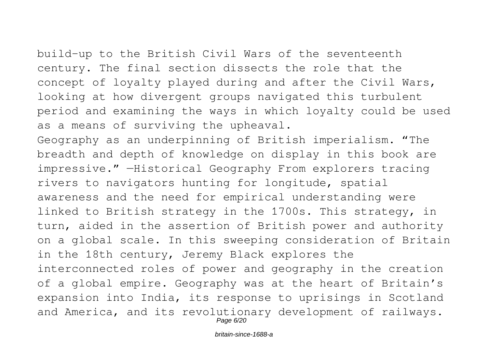build-up to the British Civil Wars of the seventeenth century. The final section dissects the role that the concept of loyalty played during and after the Civil Wars, looking at how divergent groups navigated this turbulent period and examining the ways in which loyalty could be used as a means of surviving the upheaval.

Geography as an underpinning of British imperialism. "The breadth and depth of knowledge on display in this book are impressive." —Historical Geography From explorers tracing rivers to navigators hunting for longitude, spatial awareness and the need for empirical understanding were linked to British strategy in the 1700s. This strategy, in turn, aided in the assertion of British power and authority on a global scale. In this sweeping consideration of Britain in the 18th century, Jeremy Black explores the interconnected roles of power and geography in the creation of a global empire. Geography was at the heart of Britain's expansion into India, its response to uprisings in Scotland and America, and its revolutionary development of railways. Page 6/20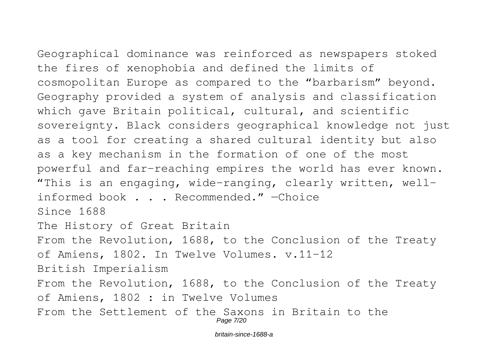Geographical dominance was reinforced as newspapers stoked the fires of xenophobia and defined the limits of cosmopolitan Europe as compared to the "barbarism" beyond. Geography provided a system of analysis and classification which gave Britain political, cultural, and scientific sovereignty. Black considers geographical knowledge not just as a tool for creating a shared cultural identity but also as a key mechanism in the formation of one of the most powerful and far-reaching empires the world has ever known. "This is an engaging, wide-ranging, clearly written, wellinformed book . . . Recommended." —Choice Since 1688 The History of Great Britain From the Revolution, 1688, to the Conclusion of the Treaty of Amiens, 1802. In Twelve Volumes. v.11-12 British Imperialism From the Revolution, 1688, to the Conclusion of the Treaty of Amiens, 1802 : in Twelve Volumes From the Settlement of the Saxons in Britain to the Page 7/20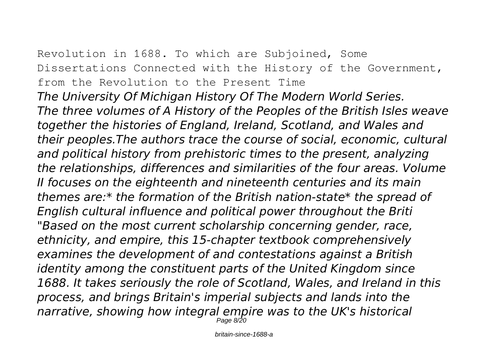Revolution in 1688. To which are Subjoined, Some Dissertations Connected with the History of the Government, from the Revolution to the Present Time *The University Of Michigan History Of The Modern World Series. The three volumes of A History of the Peoples of the British Isles weave together the histories of England, Ireland, Scotland, and Wales and their peoples.The authors trace the course of social, economic, cultural and political history from prehistoric times to the present, analyzing the relationships, differences and similarities of the four areas. Volume II focuses on the eighteenth and nineteenth centuries and its main themes are:\* the formation of the British nation-state\* the spread of English cultural influence and political power throughout the Briti "Based on the most current scholarship concerning gender, race, ethnicity, and empire, this 15-chapter textbook comprehensively examines the development of and contestations against a British identity among the constituent parts of the United Kingdom since 1688. It takes seriously the role of Scotland, Wales, and Ireland in this process, and brings Britain's imperial subjects and lands into the narrative, showing how integral empire was to the UK's historical* Page 8/20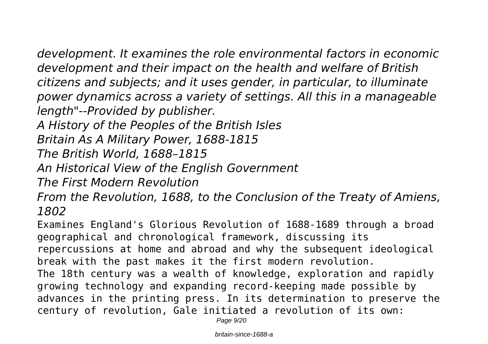*development. It examines the role environmental factors in economic development and their impact on the health and welfare of British citizens and subjects; and it uses gender, in particular, to illuminate power dynamics across a variety of settings. All this in a manageable length"--Provided by publisher.*

*A History of the Peoples of the British Isles*

*Britain As A Military Power, 1688-1815*

*The British World, 1688–1815*

*An Historical View of the English Government*

*The First Modern Revolution*

*From the Revolution, 1688, to the Conclusion of the Treaty of Amiens, 1802*

Examines England's Glorious Revolution of 1688-1689 through a broad geographical and chronological framework, discussing its repercussions at home and abroad and why the subsequent ideological break with the past makes it the first modern revolution. The 18th century was a wealth of knowledge, exploration and rapidly growing technology and expanding record-keeping made possible by advances in the printing press. In its determination to preserve the century of revolution, Gale initiated a revolution of its own:

Page  $9/20$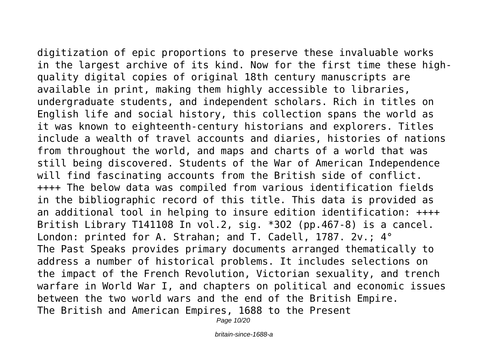digitization of epic proportions to preserve these invaluable works in the largest archive of its kind. Now for the first time these highquality digital copies of original 18th century manuscripts are available in print, making them highly accessible to libraries, undergraduate students, and independent scholars. Rich in titles on English life and social history, this collection spans the world as it was known to eighteenth-century historians and explorers. Titles include a wealth of travel accounts and diaries, histories of nations from throughout the world, and maps and charts of a world that was still being discovered. Students of the War of American Independence will find fascinating accounts from the British side of conflict. ++++ The below data was compiled from various identification fields in the bibliographic record of this title. This data is provided as an additional tool in helping to insure edition identification: ++++ British Library T141108 In vol.2, sig. \*3O2 (pp.467-8) is a cancel. London: printed for A. Strahan; and T. Cadell, 1787. 2v.; 4° The Past Speaks provides primary documents arranged thematically to address a number of historical problems. It includes selections on the impact of the French Revolution, Victorian sexuality, and trench warfare in World War I, and chapters on political and economic issues between the two world wars and the end of the British Empire. The British and American Empires, 1688 to the Present

Page 10/20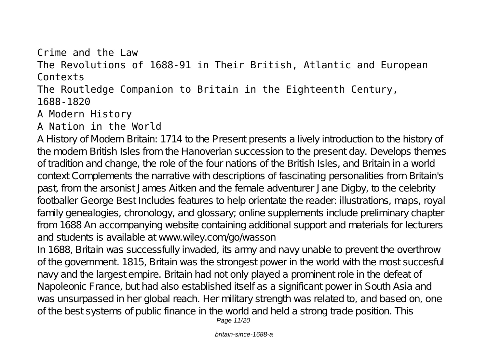### Crime and the Law The Revolutions of 1688-91 in Their British, Atlantic and European Contexts The Routledge Companion to Britain in the Eighteenth Century, 1688-1820 A Modern History

### A Nation in the World

A History of Modern Britain: 1714 to the Present presents a lively introduction to the history of the modern British Isles from the Hanoverian succession to the present day. Develops themes of tradition and change, the role of the four nations of the British Isles, and Britain in a world context Complements the narrative with descriptions of fascinating personalities from Britain's past, from the arsonist James Aitken and the female adventurer Jane Digby, to the celebrity footballer George Best Includes features to help orientate the reader: illustrations, maps, royal family genealogies, chronology, and glossary; online supplements include preliminary chapter from 1688 An accompanying website containing additional support and materials for lecturers and students is available at www.wiley.com/go/wasson

In 1688, Britain was successfully invaded, its army and navy unable to prevent the overthrow of the government. 1815, Britain was the strongest power in the world with the most succesful navy and the largest empire. Britain had not only played a prominent role in the defeat of Napoleonic France, but had also established itself as a significant power in South Asia and was unsurpassed in her global reach. Her military strength was related to, and based on, one of the best systems of public finance in the world and held a strong trade position. This Page 11/20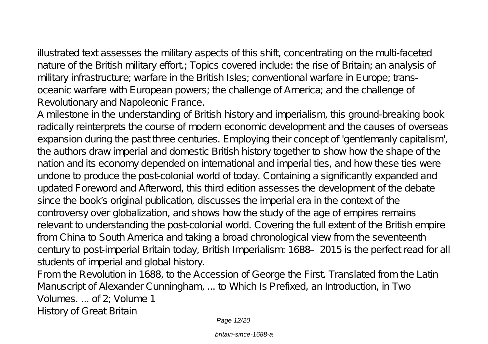illustrated text assesses the military aspects of this shift, concentrating on the multi-faceted nature of the British military effort; Topics covered include: the rise of Britain; an analysis of military infrastructure; warfare in the British Isles; conventional warfare in Europe; transoceanic warfare with European powers; the challenge of America; and the challenge of Revolutionary and Napoleonic France.

A milestone in the understanding of British history and imperialism, this ground-breaking book radically reinterprets the course of modern economic development and the causes of overseas expansion during the past three centuries. Employing their concept of 'gentlemanly capitalism', the authors draw imperial and domestic British history together to show how the shape of the nation and its economy depended on international and imperial ties, and how these ties were undone to produce the post-colonial world of today. Containing a significantly expanded and updated Foreword and Afterword, this third edition assesses the development of the debate since the book's original publication, discusses the imperial era in the context of the controversy over globalization, and shows how the study of the age of empires remains relevant to understanding the post-colonial world. Covering the full extent of the British empire from China to South America and taking a broad chronological view from the seventeenth century to post-imperial Britain today, British Imperialism: 1688–2015 is the perfect read for all students of imperial and global history.

From the Revolution in 1688, to the Accession of George the First. Translated from the Latin Manuscript of Alexander Cunningham, ... to Which Is Prefixed, an Introduction, in Two Volumes. ... of 2; Volume 1 History of Great Britain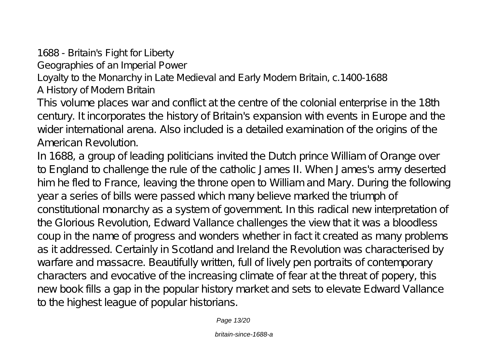1688 - Britain's Fight for Liberty

Geographies of an Imperial Power

Loyalty to the Monarchy in Late Medieval and Early Modern Britain, c.1400-1688 A History of Modern Britain

This volume places war and conflict at the centre of the colonial enterprise in the 18th century. It incorporates the history of Britain's expansion with events in Europe and the wider international arena. Also included is a detailed examination of the origins of the American Revolution.

In 1688, a group of leading politicians invited the Dutch prince William of Orange over to England to challenge the rule of the catholic James II. When James's army deserted him he fled to France, leaving the throne open to William and Mary. During the following year a series of bills were passed which many believe marked the triumph of constitutional monarchy as a system of government. In this radical new interpretation of the Glorious Revolution, Edward Vallance challenges the view that it was a bloodless coup in the name of progress and wonders whether in fact it created as many problems as it addressed. Certainly in Scotland and Ireland the Revolution was characterised by warfare and massacre. Beautifully written, full of lively pen portraits of contemporary characters and evocative of the increasing climate of fear at the threat of popery, this new book fills a gap in the popular history market and sets to elevate Edward Vallance to the highest league of popular historians.

Page 13/20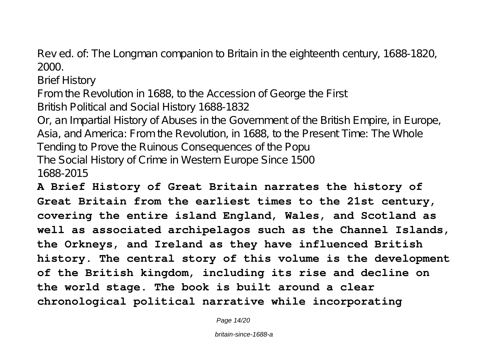Rev ed. of: The Longman companion to Britain in the eighteenth century, 1688-1820, 2000.

Brief History

From the Revolution in 1688, to the Accession of George the First British Political and Social History 1688-1832

Or, an Impartial History of Abuses in the Government of the British Empire, in Europe, Asia, and America: From the Revolution, in 1688, to the Present Time: The Whole Tending to Prove the Ruinous Consequences of the Popu The Social History of Crime in Western Europe Since 1500 1688-2015

**A Brief History of Great Britain narrates the history of Great Britain from the earliest times to the 21st century, covering the entire island England, Wales, and Scotland as well as associated archipelagos such as the Channel Islands, the Orkneys, and Ireland as they have influenced British history. The central story of this volume is the development of the British kingdom, including its rise and decline on the world stage. The book is built around a clear chronological political narrative while incorporating**

Page 14/20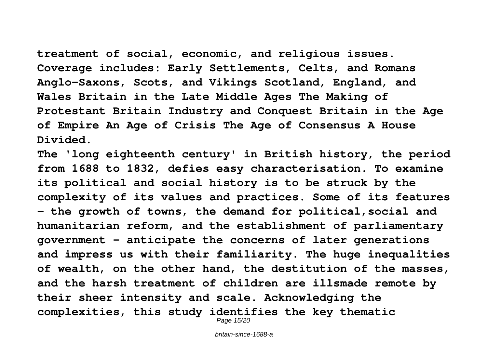**treatment of social, economic, and religious issues. Coverage includes: Early Settlements, Celts, and Romans Anglo-Saxons, Scots, and Vikings Scotland, England, and Wales Britain in the Late Middle Ages The Making of Protestant Britain Industry and Conquest Britain in the Age of Empire An Age of Crisis The Age of Consensus A House Divided.**

**The 'long eighteenth century' in British history, the period from 1688 to 1832, defies easy characterisation. To examine its political and social history is to be struck by the complexity of its values and practices. Some of its features - the growth of towns, the demand for political,social and humanitarian reform, and the establishment of parliamentary government - anticipate the concerns of later generations and impress us with their familiarity. The huge inequalities of wealth, on the other hand, the destitution of the masses, and the harsh treatment of children are illsmade remote by their sheer intensity and scale. Acknowledging the complexities, this study identifies the key thematic** Page 15/20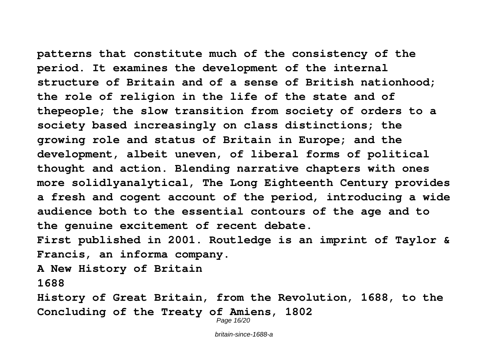**patterns that constitute much of the consistency of the period. It examines the development of the internal structure of Britain and of a sense of British nationhood; the role of religion in the life of the state and of thepeople; the slow transition from society of orders to a society based increasingly on class distinctions; the growing role and status of Britain in Europe; and the development, albeit uneven, of liberal forms of political thought and action. Blending narrative chapters with ones more solidlyanalytical, The Long Eighteenth Century provides a fresh and cogent account of the period, introducing a wide audience both to the essential contours of the age and to the genuine excitement of recent debate. First published in 2001. Routledge is an imprint of Taylor & Francis, an informa company.**

**A New History of Britain**

**1688**

**History of Great Britain, from the Revolution, 1688, to the Concluding of the Treaty of Amiens, 1802**

Page 16/20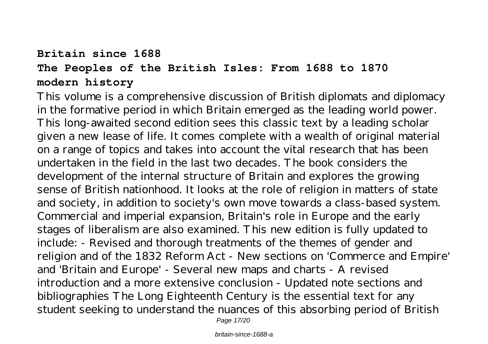## **Britain since 1688 The Peoples of the British Isles: From 1688 to 1870 modern history**

This volume is a comprehensive discussion of British diplomats and diplomacy in the formative period in which Britain emerged as the leading world power. This long-awaited second edition sees this classic text by a leading scholar given a new lease of life. It comes complete with a wealth of original material on a range of topics and takes into account the vital research that has been undertaken in the field in the last two decades. The book considers the development of the internal structure of Britain and explores the growing sense of British nationhood. It looks at the role of religion in matters of state and society, in addition to society's own move towards a class-based system. Commercial and imperial expansion, Britain's role in Europe and the early stages of liberalism are also examined. This new edition is fully updated to include: - Revised and thorough treatments of the themes of gender and religion and of the 1832 Reform Act - New sections on 'Commerce and Empire' and 'Britain and Europe' - Several new maps and charts - A revised introduction and a more extensive conclusion - Updated note sections and bibliographies The Long Eighteenth Century is the essential text for any student seeking to understand the nuances of this absorbing period of British

Page 17/20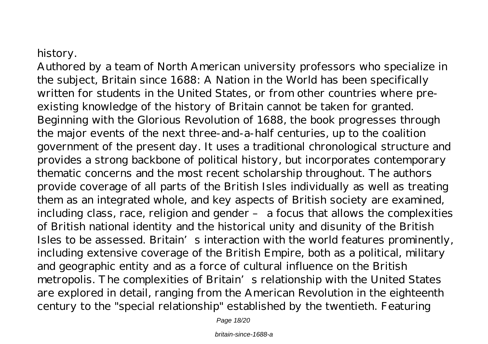### history.

Authored by a team of North American university professors who specialize in the subject, Britain since 1688: A Nation in the World has been specifically written for students in the United States, or from other countries where preexisting knowledge of the history of Britain cannot be taken for granted. Beginning with the Glorious Revolution of 1688, the book progresses through the major events of the next three-and-a-half centuries, up to the coalition government of the present day. It uses a traditional chronological structure and provides a strong backbone of political history, but incorporates contemporary thematic concerns and the most recent scholarship throughout. The authors provide coverage of all parts of the British Isles individually as well as treating them as an integrated whole, and key aspects of British society are examined, including class, race, religion and gender – a focus that allows the complexities of British national identity and the historical unity and disunity of the British Isles to be assessed. Britain's interaction with the world features prominently, including extensive coverage of the British Empire, both as a political, military and geographic entity and as a force of cultural influence on the British metropolis. The complexities of Britain's relationship with the United States are explored in detail, ranging from the American Revolution in the eighteenth century to the "special relationship" established by the twentieth. Featuring

Page 18/20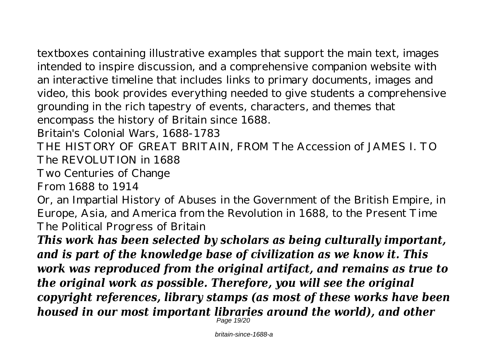textboxes containing illustrative examples that support the main text, images intended to inspire discussion, and a comprehensive companion website with an interactive timeline that includes links to primary documents, images and video, this book provides everything needed to give students a comprehensive grounding in the rich tapestry of events, characters, and themes that encompass the history of Britain since 1688.

Britain's Colonial Wars, 1688-1783

THE HISTORY OF GREAT BRITAIN, FROM The Accession of JAMES I. TO The REVOLUTION in 1688

Two Centuries of Change

From 1688 to 1914

Or, an Impartial History of Abuses in the Government of the British Empire, in Europe, Asia, and America from the Revolution in 1688, to the Present Time The Political Progress of Britain

*This work has been selected by scholars as being culturally important, and is part of the knowledge base of civilization as we know it. This work was reproduced from the original artifact, and remains as true to the original work as possible. Therefore, you will see the original copyright references, library stamps (as most of these works have been housed in our most important libraries around the world), and other* Page 19/20